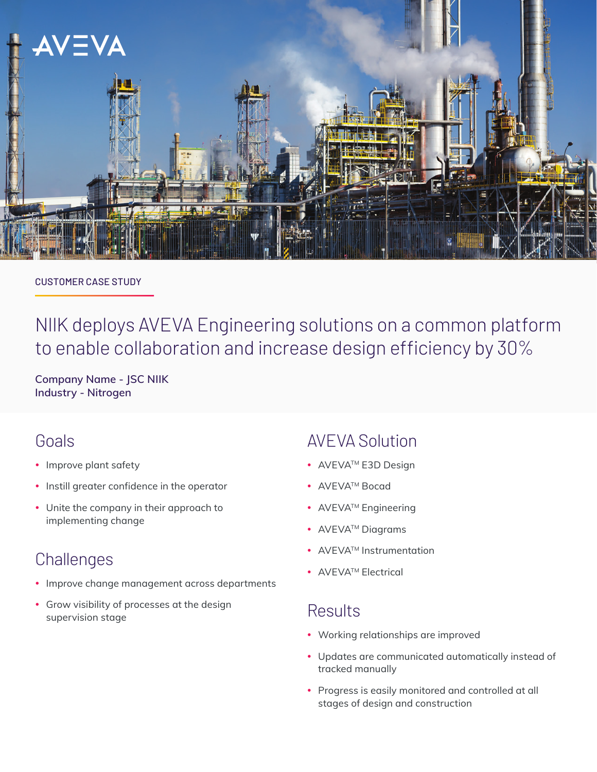

#### CUSTOMER CASE STUDY

# NIIK deploys AVEVA Engineering solutions on a common platform to enable collaboration and increase design efficiency by 30%

**Company Name - JSC NIIK Industry - Nitrogen**

### Goals

- Improve plant safety
- Instill greater confidence in the operator
- Unite the company in their approach to implementing change

## **Challenges**

- Improve change management across departments
- Grow visibility of processes at the design supervision stage

### AVEVA Solution

- AVEVA<sup>TM</sup> E3D Design
- AVEVA<sup>™</sup> Bocad
- AVEVA<sup>™</sup> Engineering
- AVEVA<sup>TM</sup> Diagrams
- AVEVA<sup>™</sup> Instrumentation
- AVEVA<sup>TM</sup> Electrical

### **Results**

- Working relationships are improved
- Updates are communicated automatically instead of tracked manually
- Progress is easily monitored and controlled at all stages of design and construction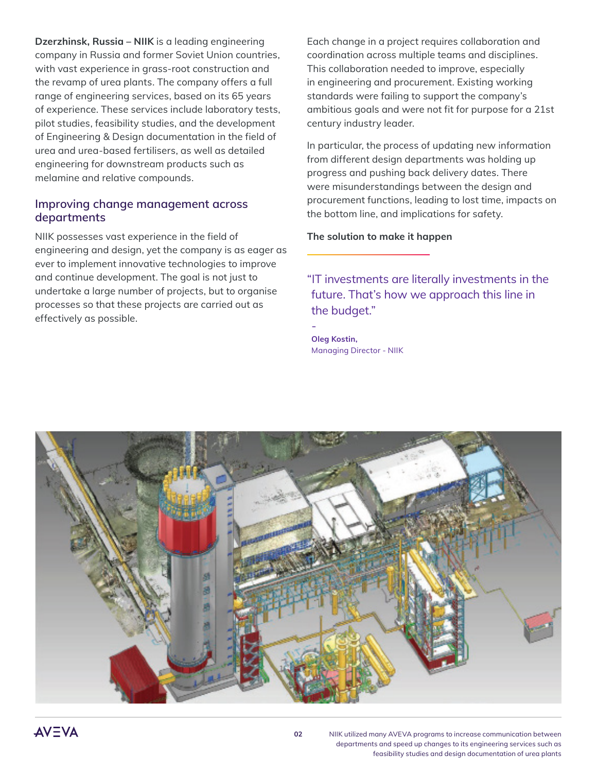**Dzerzhinsk, Russia – NIIK** is a leading engineering company in Russia and former Soviet Union countries, with vast experience in grass-root construction and the revamp of urea plants. The company offers a full range of engineering services, based on its 65 years of experience. These services include laboratory tests, pilot studies, feasibility studies, and the development of Engineering & Design documentation in the field of urea and urea-based fertilisers, as well as detailed engineering for downstream products such as melamine and relative compounds.

#### **Improving change management across departments**

NIIK possesses vast experience in the field of engineering and design, yet the company is as eager as ever to implement innovative technologies to improve and continue development. The goal is not just to undertake a large number of projects, but to organise processes so that these projects are carried out as effectively as possible.

Each change in a project requires collaboration and coordination across multiple teams and disciplines. This collaboration needed to improve, especially in engineering and procurement. Existing working standards were failing to support the company's ambitious goals and were not fit for purpose for a 21st century industry leader.

In particular, the process of updating new information from different design departments was holding up progress and pushing back delivery dates. There were misunderstandings between the design and procurement functions, leading to lost time, impacts on the bottom line, and implications for safety.

**The solution to make it happen**

"IT investments are literally investments in the future. That's how we approach this line in the budget."

- **Oleg Kostin,**  Managing Director - NIIK

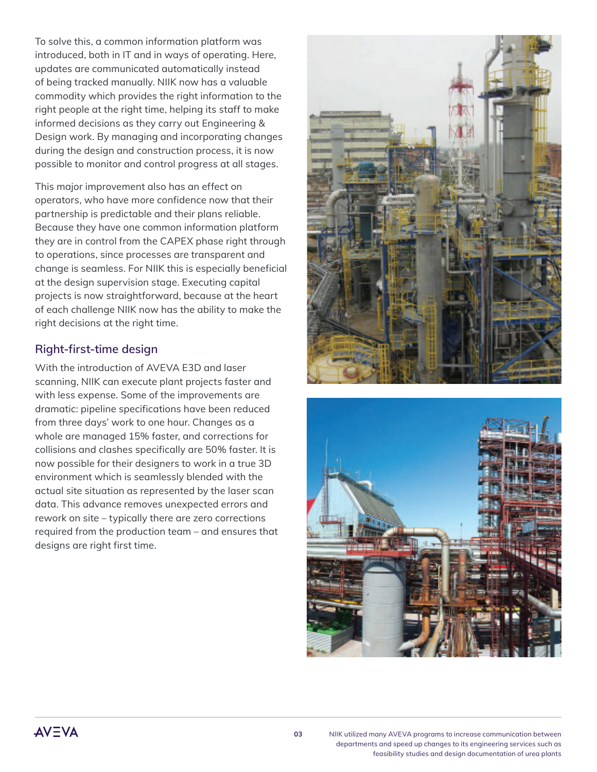To solve this, a common information platform was introduced, both in IT and in ways of operating. Here, updates are communicated automatically instead of being tracked manually. NIIK now has a valuable commodity which provides the right information to the right people at the right time, helping its staff to make informed decisions as they carry out Engineering & Design work. By managing and incorporating changes during the design and construction process, it is now possible to monitor and control progress at all stages.

This major improvement also has an effect on operators, who have more confidence now that their partnership is predictable and their plans reliable. Because they have one common information platform they are in control from the CAPEX phase right through to operations, since processes are transparent and change is seamless. For NIIK this is especially beneficial at the design supervision stage. Executing capital projects is now straightforward, because at the heart of each challenge NIIK now has the ability to make the right decisions at the right time.

#### **Right-first-time design**

With the introduction of AVEVA E3D and laser scanning, NIIK can execute plant projects faster and with less expense. Some of the improvements are dramatic: pipeline specifications have been reduced from three days' work to one hour. Changes as a whole are managed 15% faster, and corrections for collisions and clashes specifically are 50% faster. It is now possible for their designers to work in a true 3D environment which is seamlessly blended with the actual site situation as represented by the laser scan data. This advance removes unexpected errors and rework on site – typically there are zero corrections required from the production team – and ensures that designs are right first time.